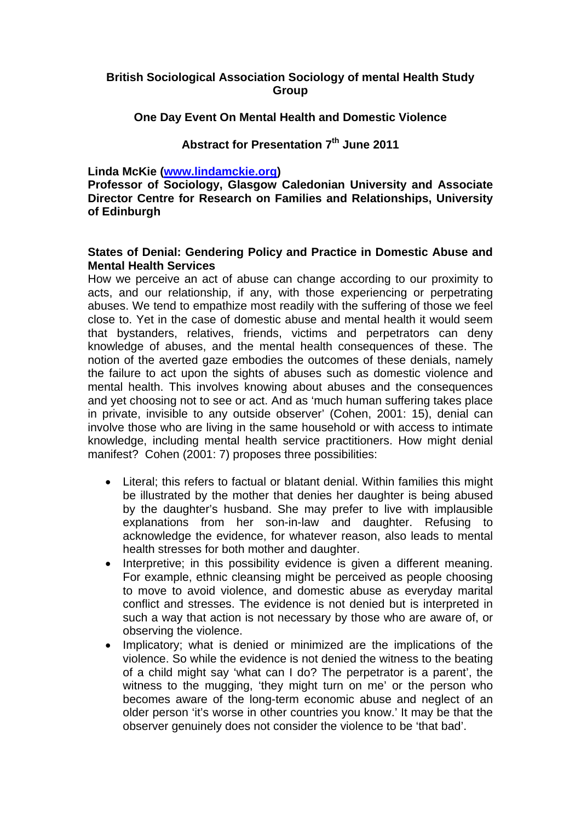## **British Sociological Association Sociology of mental Health Study Group**

**One Day Event On Mental Health and Domestic Violence** 

## Abstract for Presentation 7<sup>th</sup> June 2011

**Linda McKie (www.lindamckie.org)** 

**Professor of Sociology, Glasgow Caledonian University and Associate Director Centre for Research on Families and Relationships, University of Edinburgh** 

## **States of Denial: Gendering Policy and Practice in Domestic Abuse and Mental Health Services**

How we perceive an act of abuse can change according to our proximity to acts, and our relationship, if any, with those experiencing or perpetrating abuses. We tend to empathize most readily with the suffering of those we feel close to. Yet in the case of domestic abuse and mental health it would seem that bystanders, relatives, friends, victims and perpetrators can deny knowledge of abuses, and the mental health consequences of these. The notion of the averted gaze embodies the outcomes of these denials, namely the failure to act upon the sights of abuses such as domestic violence and mental health. This involves knowing about abuses and the consequences and yet choosing not to see or act. And as 'much human suffering takes place in private, invisible to any outside observer' (Cohen, 2001: 15), denial can involve those who are living in the same household or with access to intimate knowledge, including mental health service practitioners. How might denial manifest? Cohen (2001: 7) proposes three possibilities:

- Literal; this refers to factual or blatant denial. Within families this might be illustrated by the mother that denies her daughter is being abused by the daughter's husband. She may prefer to live with implausible explanations from her son-in-law and daughter. Refusing to acknowledge the evidence, for whatever reason, also leads to mental health stresses for both mother and daughter.
- Interpretive; in this possibility evidence is given a different meaning. For example, ethnic cleansing might be perceived as people choosing to move to avoid violence, and domestic abuse as everyday marital conflict and stresses. The evidence is not denied but is interpreted in such a way that action is not necessary by those who are aware of, or observing the violence.
- Implicatory; what is denied or minimized are the implications of the violence. So while the evidence is not denied the witness to the beating of a child might say 'what can I do? The perpetrator is a parent', the witness to the mugging, 'they might turn on me' or the person who becomes aware of the long-term economic abuse and neglect of an older person 'it's worse in other countries you know.' It may be that the observer genuinely does not consider the violence to be 'that bad'.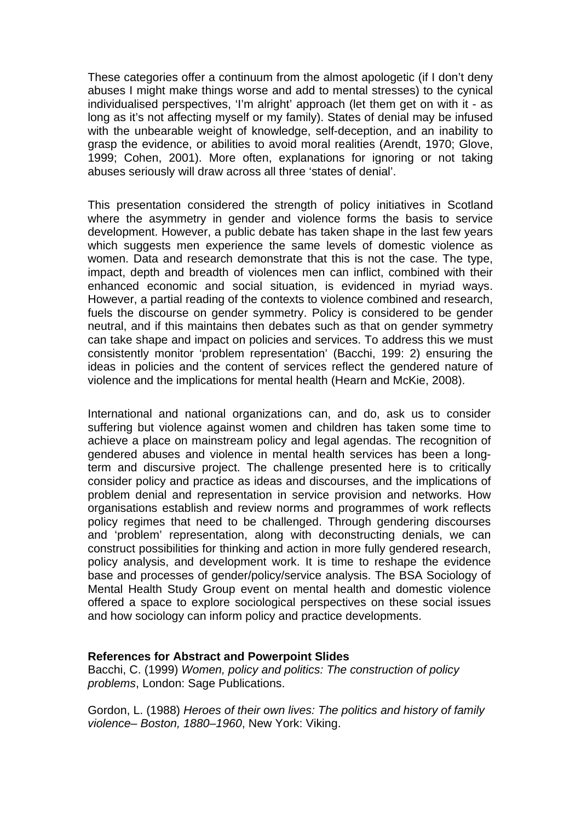These categories offer a continuum from the almost apologetic (if I don't deny abuses I might make things worse and add to mental stresses) to the cynical individualised perspectives, 'I'm alright' approach (let them get on with it - as long as it's not affecting myself or my family). States of denial may be infused with the unbearable weight of knowledge, self-deception, and an inability to grasp the evidence, or abilities to avoid moral realities (Arendt, 1970; Glove, 1999; Cohen, 2001). More often, explanations for ignoring or not taking abuses seriously will draw across all three 'states of denial'.

This presentation considered the strength of policy initiatives in Scotland where the asymmetry in gender and violence forms the basis to service development. However, a public debate has taken shape in the last few years which suggests men experience the same levels of domestic violence as women. Data and research demonstrate that this is not the case. The type, impact, depth and breadth of violences men can inflict, combined with their enhanced economic and social situation, is evidenced in myriad ways. However, a partial reading of the contexts to violence combined and research, fuels the discourse on gender symmetry. Policy is considered to be gender neutral, and if this maintains then debates such as that on gender symmetry can take shape and impact on policies and services. To address this we must consistently monitor 'problem representation' (Bacchi, 199: 2) ensuring the ideas in policies and the content of services reflect the gendered nature of violence and the implications for mental health (Hearn and McKie, 2008).

International and national organizations can, and do, ask us to consider suffering but violence against women and children has taken some time to achieve a place on mainstream policy and legal agendas. The recognition of gendered abuses and violence in mental health services has been a longterm and discursive project. The challenge presented here is to critically consider policy and practice as ideas and discourses, and the implications of problem denial and representation in service provision and networks. How organisations establish and review norms and programmes of work reflects policy regimes that need to be challenged. Through gendering discourses and 'problem' representation, along with deconstructing denials, we can construct possibilities for thinking and action in more fully gendered research, policy analysis, and development work. It is time to reshape the evidence base and processes of gender/policy/service analysis. The BSA Sociology of Mental Health Study Group event on mental health and domestic violence offered a space to explore sociological perspectives on these social issues and how sociology can inform policy and practice developments.

## **References for Abstract and Powerpoint Slides**

Bacchi, C. (1999) *Women, policy and politics: The construction of policy problems*, London: Sage Publications.

Gordon, L. (1988) *Heroes of their own lives: The politics and history of family violence– Boston, 1880–1960*, New York: Viking.